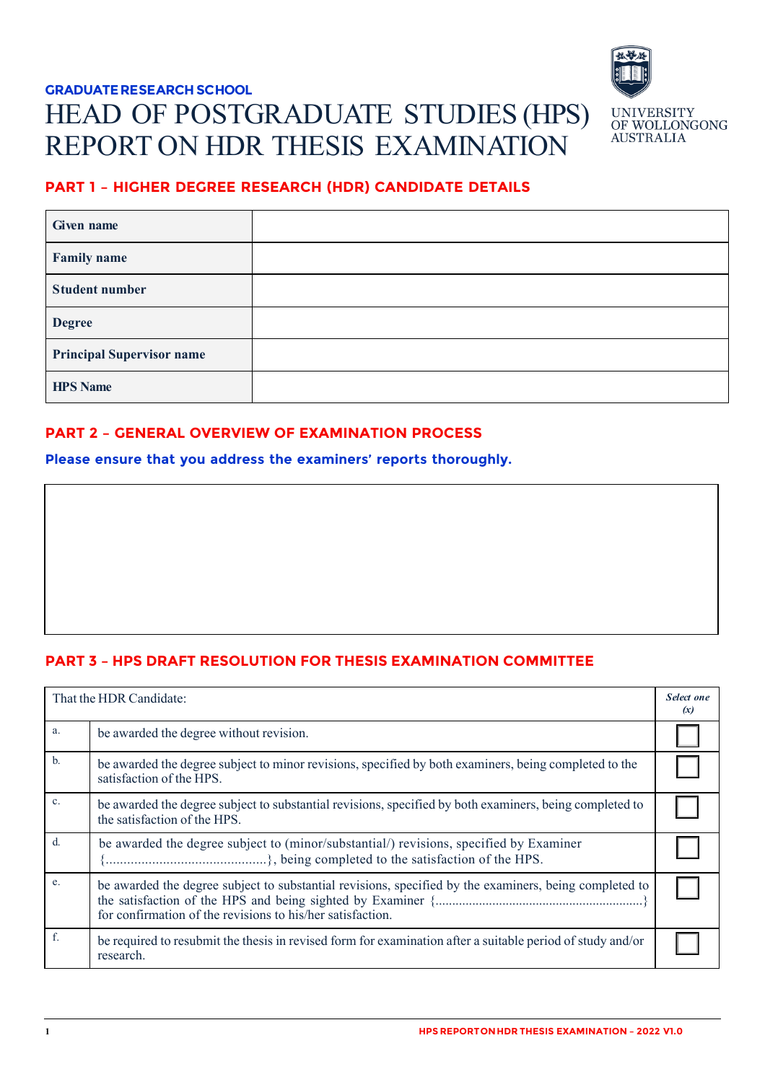# **GRADUATE RESEARCH SCHOOL**  HEAD OF POSTGRADUATE STUDIES (HPS) REPORT ON HDR THESIS EXAMINATION



# **PART 1 – HIGHER DEGREE RESEARCH (HDR) CANDIDATE DETAILS**

| Given name                       |  |
|----------------------------------|--|
| <b>Family name</b>               |  |
| <b>Student number</b>            |  |
| <b>Degree</b>                    |  |
| <b>Principal Supervisor name</b> |  |
| <b>HPS Name</b>                  |  |

## **PART 2 – GENERAL OVERVIEW OF EXAMINATION PROCESS**

**Please ensure that you address the examiners' reports thoroughly.**

# **PART 3 – HPS DRAFT RESOLUTION FOR THESIS EXAMINATION COMMITTEE**

|                | That the HDR Candidate:                                                                                                                                              | Select one<br>(x) |
|----------------|----------------------------------------------------------------------------------------------------------------------------------------------------------------------|-------------------|
| a.             | be awarded the degree without revision.                                                                                                                              |                   |
| $\mathbf{b}$ . | be awarded the degree subject to minor revisions, specified by both examiners, being completed to the<br>satisfaction of the HPS.                                    |                   |
| $\mathbf{c}$ . | be awarded the degree subject to substantial revisions, specified by both examiners, being completed to<br>the satisfaction of the HPS.                              |                   |
| $d$ .          | be awarded the degree subject to (minor/substantial/) revisions, specified by Examiner                                                                               |                   |
| e.             | be awarded the degree subject to substantial revisions, specified by the examiners, being completed to<br>for confirmation of the revisions to his/her satisfaction. |                   |
| f.             | be required to resubmit the thesis in revised form for examination after a suitable period of study and/or<br>research.                                              |                   |